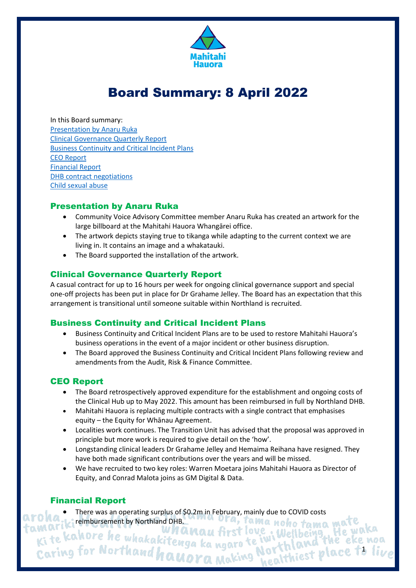

# Board Summary: 8 April 2022

In this Board summary: [Presentation by Anaru Ruka](#page-0-0) [Clinical Governance Quarterly Report](#page-0-1) [Business Continuity and Critical Incident Plans](#page-0-2) [CEO Report](#page-0-3) [Financial Report](#page-0-4) [DHB contract negotiations](#page-1-0) [Child sexual abuse](#page-1-1)

## <span id="page-0-0"></span>Presentation by Anaru Ruka

- Community Voice Advisory Committee member Anaru Ruka has created an artwork for the large billboard at the Mahitahi Hauora Whangārei office.
- The artwork depicts staying true to tikanga while adapting to the current context we are living in. It contains an image and a whakatauki.
- The Board supported the installation of the artwork.

## <span id="page-0-1"></span>Clinical Governance Quarterly Report

A casual contract for up to 16 hours per week for ongoing clinical governance support and special one-off projects has been put in place for Dr Grahame Jelley. The Board has an expectation that this arrangement is transitional until someone suitable within Northland is recruited.

## <span id="page-0-2"></span>Business Continuity and Critical Incident Plans

- Business Continuity and Critical Incident Plans are to be used to restore Mahitahi Hauora's business operations in the event of a major incident or other business disruption.
- The Board approved the Business Continuity and Critical Incident Plans following review and amendments from the Audit, Risk & Finance Committee.

## <span id="page-0-3"></span>CEO Report

- The Board retrospectively approved expenditure for the establishment and ongoing costs of the Clinical Hub up to May 2022. This amount has been reimbursed in full by Northland DHB.
- Mahitahi Hauora is replacing multiple contracts with a single contract that emphasises equity – the Equity for Whānau Agreement.
- Localities work continues. The Transition Unit has advised that the proposal was approved in principle but more work is required to give detail on the 'how'.
- Longstanding clinical leaders Dr Grahame Jelley and Hemaima Reihana have resigned. They have both made significant contributions over the years and will be missed.
- We have recruited to two key roles: Warren Moetara joins Mahitahi Hauora as Director of Equity, and Conrad Malota joins as GM Digital & Data.

## <span id="page-0-4"></span>Financial Report

There was an operating surplus of \$0.2m in February, mainly due to COVID costs<br>reimbursement by Northland DHB.

reinbursement by Northland DHB. WMA OFA, tama noho tama<br>Ki te kahore he whakakitenga ka ngaro te iwi Wellbeing the<br>Caring for Northand hauora Making Northland Pl Northland Mace 1